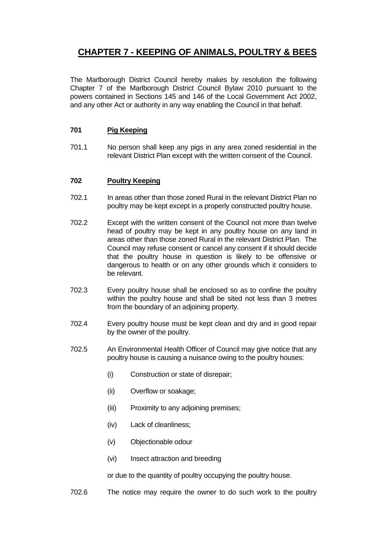# **CHAPTER 7 - KEEPING OF ANIMALS, POULTRY & BEES**

The Marlborough District Council hereby makes by resolution the following Chapter 7 of the Marlborough District Council Bylaw 2010 pursuant to the powers contained in Sections 145 and 146 of the Local Government Act 2002, and any other Act or authority in any way enabling the Council in that behalf.

## **701 Pig Keeping**

701.1 No person shall keep any pigs in any area zoned residential in the relevant District Plan except with the written consent of the Council.

## **702 Poultry Keeping**

- 702.1 In areas other than those zoned Rural in the relevant District Plan no poultry may be kept except in a properly constructed poultry house.
- 702.2 Except with the written consent of the Council not more than twelve head of poultry may be kept in any poultry house on any land in areas other than those zoned Rural in the relevant District Plan. The Council may refuse consent or cancel any consent if it should decide that the poultry house in question is likely to be offensive or dangerous to health or on any other grounds which it considers to be relevant.
- 702.3 Every poultry house shall be enclosed so as to confine the poultry within the poultry house and shall be sited not less than 3 metres from the boundary of an adjoining property.
- 702.4 Every poultry house must be kept clean and dry and in good repair by the owner of the poultry.
- 702.5 An Environmental Health Officer of Council may give notice that any poultry house is causing a nuisance owing to the poultry houses:
	- (i) Construction or state of disrepair;
	- (ii) Overflow or soakage;
	- (iii) Proximity to any adjoining premises;
	- (iv) Lack of cleanliness;
	- (v) Objectionable odour
	- (vi) Insect attraction and breeding

or due to the quantity of poultry occupying the poultry house.

702.6 The notice may require the owner to do such work to the poultry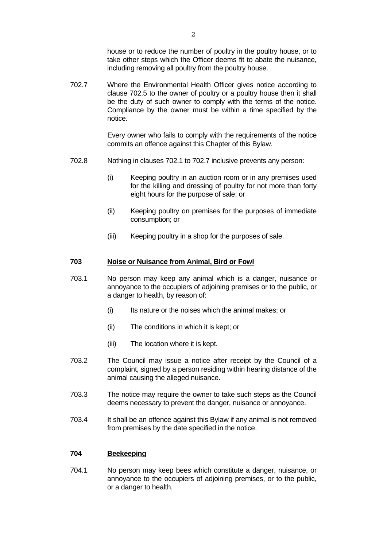house or to reduce the number of poultry in the poultry house, or to take other steps which the Officer deems fit to abate the nuisance, including removing all poultry from the poultry house.

702.7 Where the Environmental Health Officer gives notice according to clause 702.5 to the owner of poultry or a poultry house then it shall be the duty of such owner to comply with the terms of the notice. Compliance by the owner must be within a time specified by the notice.

> Every owner who fails to comply with the requirements of the notice commits an offence against this Chapter of this Bylaw.

- 702.8 Nothing in clauses 702.1 to 702.7 inclusive prevents any person:
	- (i) Keeping poultry in an auction room or in any premises used for the killing and dressing of poultry for not more than forty eight hours for the purpose of sale; or
	- (ii) Keeping poultry on premises for the purposes of immediate consumption; or
	- (iii) Keeping poultry in a shop for the purposes of sale.

## **703 Noise or Nuisance from Animal, Bird or Fowl**

- 703.1 No person may keep any animal which is a danger, nuisance or annoyance to the occupiers of adjoining premises or to the public, or a danger to health, by reason of:
	- (i) Its nature or the noises which the animal makes; or
	- (ii) The conditions in which it is kept; or
	- (iii) The location where it is kept.
- 703.2 The Council may issue a notice after receipt by the Council of a complaint, signed by a person residing within hearing distance of the animal causing the alleged nuisance.
- 703.3 The notice may require the owner to take such steps as the Council deems necessary to prevent the danger, nuisance or annoyance.
- 703.4 It shall be an offence against this Bylaw if any animal is not removed from premises by the date specified in the notice.

### **704 Beekeeping**

704.1 No person may keep bees which constitute a danger, nuisance, or annoyance to the occupiers of adjoining premises, or to the public, or a danger to health.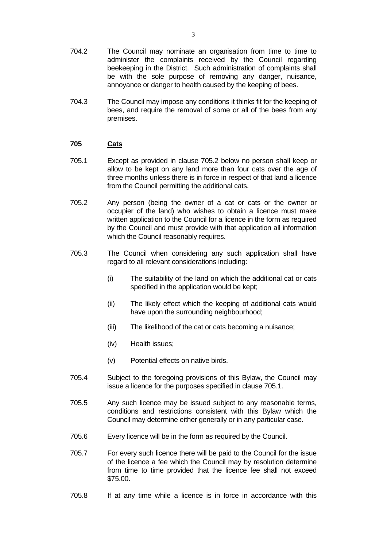- 704.2 The Council may nominate an organisation from time to time to administer the complaints received by the Council regarding beekeeping in the District. Such administration of complaints shall be with the sole purpose of removing any danger, nuisance, annoyance or danger to health caused by the keeping of bees.
- 704.3 The Council may impose any conditions it thinks fit for the keeping of bees, and require the removal of some or all of the bees from any premises.

#### **705 Cats**

- 705.1 Except as provided in clause 705.2 below no person shall keep or allow to be kept on any land more than four cats over the age of three months unless there is in force in respect of that land a licence from the Council permitting the additional cats.
- 705.2 Any person (being the owner of a cat or cats or the owner or occupier of the land) who wishes to obtain a licence must make written application to the Council for a licence in the form as required by the Council and must provide with that application all information which the Council reasonably requires.
- 705.3 The Council when considering any such application shall have regard to all relevant considerations including:
	- (i) The suitability of the land on which the additional cat or cats specified in the application would be kept;
	- (ii) The likely effect which the keeping of additional cats would have upon the surrounding neighbourhood;
	- (iii) The likelihood of the cat or cats becoming a nuisance;
	- (iv) Health issues;
	- (v) Potential effects on native birds.
- 705.4 Subject to the foregoing provisions of this Bylaw, the Council may issue a licence for the purposes specified in clause 705.1.
- 705.5 Any such licence may be issued subject to any reasonable terms, conditions and restrictions consistent with this Bylaw which the Council may determine either generally or in any particular case.
- 705.6 Every licence will be in the form as required by the Council.
- 705.7 For every such licence there will be paid to the Council for the issue of the licence a fee which the Council may by resolution determine from time to time provided that the licence fee shall not exceed \$75.00.
- 705.8 If at any time while a licence is in force in accordance with this